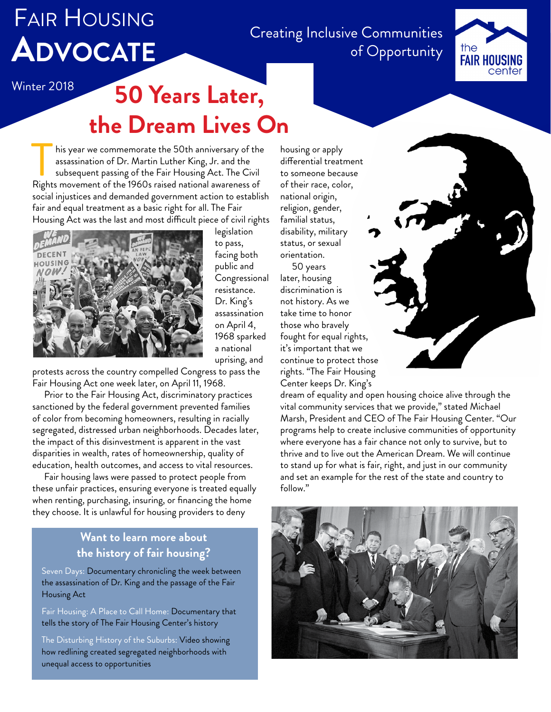# Fair Housing **Advocate**

Creating Inclusive Communities of Opportunity



# Winter 2018 **50 Years Later, the Dream Lives On**

his year we commemorate the 50th anniversary of the assassination of Dr. Martin Luther King, Jr. and the subsequent passing of the Fair Housing Act. The Civil his year we commemorate the 50th anniversary of the assassination of Dr. Martin Luther King, Jr. and the subsequent passing of the Fair Housing Act. The Civil Rights movement of the 1960s raised national awareness of social injustices and demanded government action to establish fair and equal treatment as a basic right for all. The Fair Housing Act was the last and most difficult piece of civil rights



legislation to pass, facing both public and Congressional resistance. Dr. King's assassination on April 4, 1968 sparked a national uprising, and

protests across the country compelled Congress to pass the Fair Housing Act one week later, on April 11, 1968.

Prior to the Fair Housing Act, discriminatory practices sanctioned by the federal government prevented families of color from becoming homeowners, resulting in racially segregated, distressed urban neighborhoods. Decades later, the impact of this disinvestment is apparent in the vast disparities in wealth, rates of homeownership, quality of education, health outcomes, and access to vital resources.

Fair housing laws were passed to protect people from these unfair practices, ensuring everyone is treated equally when renting, purchasing, insuring, or financing the home they choose. It is unlawful for housing providers to deny

#### **Want to learn more about the history of fair housing?**

[Seven Days:](https://www.youtube.com/watch?v=0EKo5rBBzpI&t=42s) Documentary chronicling the week between the assassination of Dr. King and the passage of the Fair Housing Act

[Fair Housing: A Place to Call Home](https://www.wgte.org/tv/programs/fair-housing-place-call-home): Documentary that tells the story of The Fair Housing Center's history

[The Disturbing History of the Suburbs:](https://www.youtube.com/watch?v=ETR9qrVS17g) Video showing how redlining created segregated neighborhoods with unequal access to opportunities

housing or apply differential treatment to someone because of their race, color, national origin, religion, gender, familial status, disability, military status, or sexual orientation.

50 years later, housing discrimination is not history. As we take time to honor those who bravely fought for equal rights, it's important that we continue to protect those rights. "The Fair Housing Center keeps Dr. King's

dream of equality and open housing choice alive through the vital community services that we provide," stated Michael Marsh, President and CEO of The Fair Housing Center. "Our programs help to create inclusive communities of opportunity where everyone has a fair chance not only to survive, but to thrive and to live out the American Dream. We will continue to stand up for what is fair, right, and just in our community and set an example for the rest of the state and country to follow."

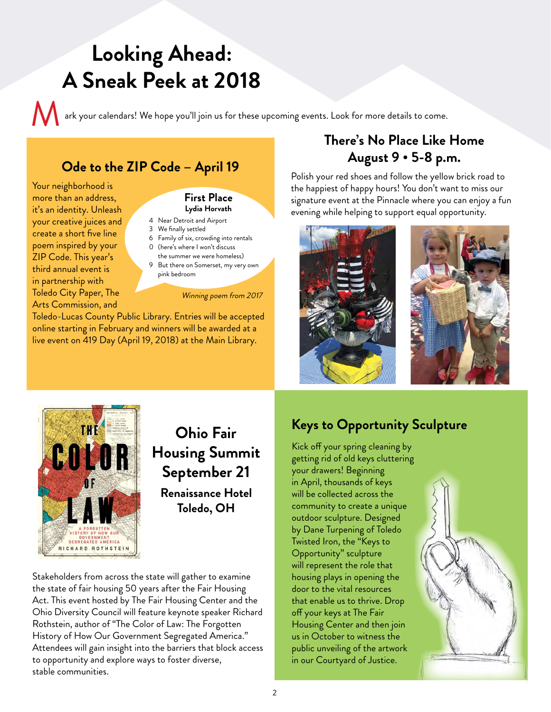## **Looking Ahead: A Sneak Peek at 2018**

ark your calendars! We hope you'll join us for these upcoming events. Look for more details to come.

### **Ode to the ZIP Code – April 19**

Your neighborhood is more than an address, it's an identity. Unleash your creative juices and create a short five line poem inspired by your ZIP Code. This year's third annual event is in partnership with Toledo City Paper, The Arts Commission, and

#### **First Place Lydia Horvath**

- 4 Near Detroit and Airport
- 3 We finally settled
- 6 Family of six, crowding into rentals 0 (here's where I won't discuss
- the summer we were homeless)
- 9 But there on Somerset, my very own pink bedroom

#### Winning poem from 2017

Toledo-Lucas County Public Library. Entries will be accepted online starting in February and winners will be awarded at a live event on 419 Day (April 19, 2018) at the Main Library.

### **There's No Place Like Home August 9 • 5-8 p.m.**

Polish your red shoes and follow the yellow brick road to the happiest of happy hours! You don't want to miss our signature event at the Pinnacle where you can enjoy a fun evening while helping to support equal opportunity.





## **Housing Summit September 21 Renaissance Hotel Toledo, OH**

Stakeholders from across the state will gather to examine the state of fair housing 50 years after the Fair Housing Act. This event hosted by The Fair Housing Center and the Ohio Diversity Council will feature keynote speaker Richard Rothstein, author of "The Color of Law: The Forgotten History of How Our Government Segregated America." Attendees will gain insight into the barriers that block access to opportunity and explore ways to foster diverse, stable communities.

## **Keys to Opportunity Sculpture Ohio Fair**

Kick off your spring cleaning by getting rid of old keys cluttering your drawers! Beginning in April, thousands of keys will be collected across the community to create a unique outdoor sculpture. Designed by Dane Turpening of Toledo Twisted Iron, the "Keys to Opportunity" sculpture will represent the role that housing plays in opening the door to the vital resources that enable us to thrive. Drop off your keys at The Fair Housing Center and then join us in October to witness the public unveiling of the artwork in our Courtyard of Justice.

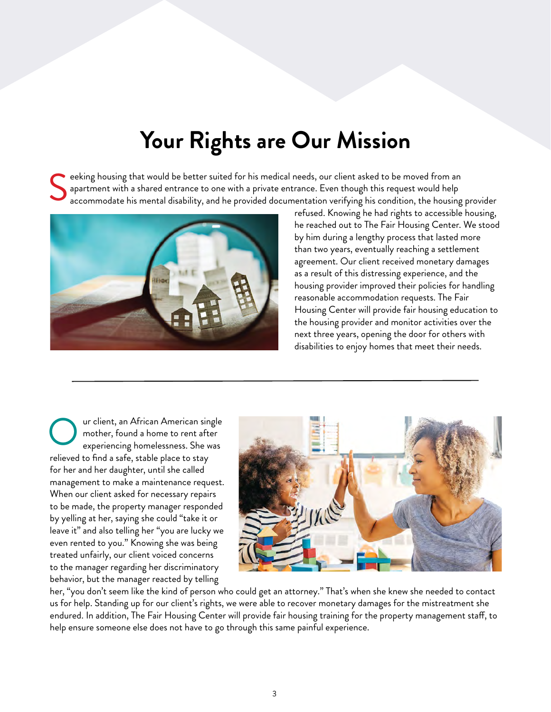## **Your Rights are Our Mission**

eeking housing that would be better suited for his medical needs, our client asked to be moved from an apartment with a shared entrance to one with a private entrance. Even though this request would help accommodate his mental disability, and he provided documentation verifying his condition, the housing provider S



refused. Knowing he had rights to accessible housing, he reached out to The Fair Housing Center. We stood by him during a lengthy process that lasted more than two years, eventually reaching a settlement agreement. Our client received monetary damages as a result of this distressing experience, and the housing provider improved their policies for handling reasonable accommodation requests. The Fair Housing Center will provide fair housing education to the housing provider and monitor activities over the next three years, opening the door for others with disabilities to enjoy homes that meet their needs.

ur client, an African American single mother, found a home to rent after experiencing homelessness. She was relieved to find a safe, stable place to stay for her and her daughter, until she called management to make a maintenance request. When our client asked for necessary repairs to be made, the property manager responded by yelling at her, saying she could "take it or leave it" and also telling her "you are lucky we even rented to you." Knowing she was being treated unfairly, our client voiced concerns to the manager regarding her discriminatory behavior, but the manager reacted by telling O



her, "you don't seem like the kind of person who could get an attorney." That's when she knew she needed to contact us for help. Standing up for our client's rights, we were able to recover monetary damages for the mistreatment she endured. In addition, The Fair Housing Center will provide fair housing training for the property management staff, to help ensure someone else does not have to go through this same painful experience.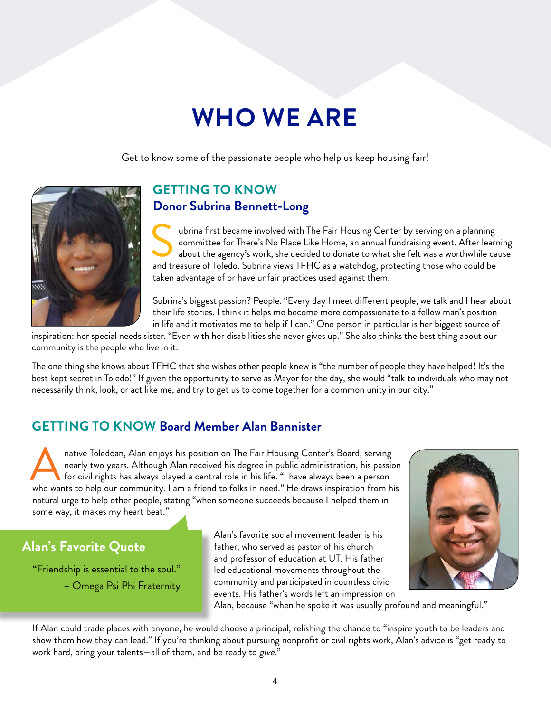# **WHO WE ARE**

Get to know some of the passionate people who help us keep housing fair!



## **GETTING TO KNOW Donor Subrina Bennett-Long**

ubrina first became involved with The Fair Housing Center by serving on a planning committee for There's No Place Like Home, an annual fundraising event. After learning about the agency's work, she decided to donate to what she felt was a worthwhile cause about the agency's Work, she decided to donate to what she felt was a worthwhile cand treasure of Toledo. Subrina views TFHC as a watchdog, protecting those who could be  $\frac{1}{2}$ taken advantage of or have unfair practices used against them.

Subrina's biggest passion? People. "Every day I meet different people, we talk and I hear about their life stories. I think it helps me become more compassionate to a fellow man's position in life and it motivates me to help if I can." One person in particular is her biggest source of

inspiration: her special needs sister. "Even with her disabilities she never gives up." She also thinks the best thing about our community is the people who live in it.

The one thing she knows about TFHC that she wishes other people knew is "the number of people they have helped! It's the best kept secret in Toledo!" If given the opportunity to serve as Mayor for the day, she would "talk to individuals who may not necessarily think, look, or act like me, and try to get us to come together for a common unity in our city."

## **GETTING TO KNOW Board Member Alan Bannister**

native Toledoan, Alan enjoys his position on The Fair Housing Center's Board, serving nearly two years. Although Alan received his degree in public administration, his passion for civil rights has always played a central role in his life. "I have always been a person native Toledoan, Alan enjoys his position on The Fair Housing Center's Board, serving<br>nearly two years. Although Alan received his degree in public administration, his passion<br>for civil rights has always played a central r natural urge to help other people, stating "when someone succeeds because I helped them in some way, it makes my heart beat."

### **Alan's Favorite Quote**

"Friendship is essential to the soul." – Omega Psi Phi Fraternity Alan's favorite social movement leader is his father, who served as pastor of his church and professor of education at UT. His father led educational movements throughout the community and participated in countless civic events. His father's words left an impression on



Alan, because "when he spoke it was usually profound and meaningful."

If Alan could trade places with anyone, he would choose a principal, relishing the chance to "inspire youth to be leaders and show them how they can lead." If you're thinking about pursuing nonprofit or civil rights work, Alan's advice is "get ready to work hard, bring your talents—all of them, and be ready to give."